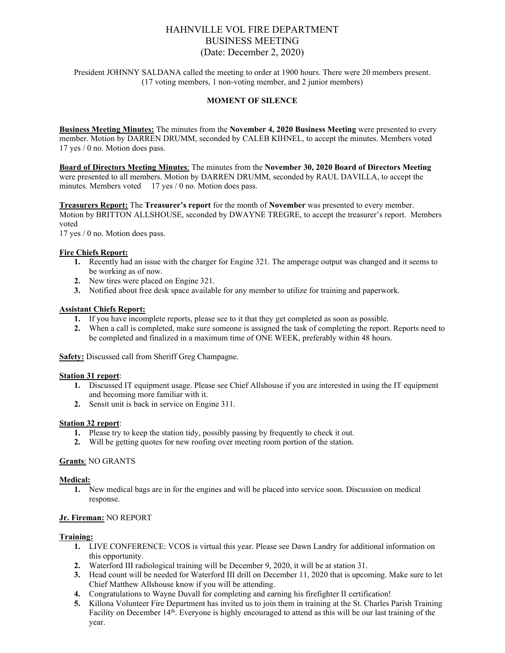# HAHNVILLE VOL FIRE DEPARTMENT BUSINESS MEETING (Date: December 2, 2020)

President JOHNNY SALDANA called the meeting to order at 1900 hours. There were 20 members present. (17 voting members, 1 non-voting member, and 2 junior members)

#### **MOMENT OF SILENCE**

**Business Meeting Minutes:** The minutes from the **November 4, 2020 Business Meeting** were presented to every member. Motion by DARREN DRUMM, seconded by CALEB KIHNEL, to accept the minutes. Members voted 17 yes / 0 no. Motion does pass.

**Board of Directors Meeting Minutes**: The minutes from the **November 30, 2020 Board of Directors Meeting** were presented to all members. Motion by DARREN DRUMM, seconded by RAUL DAVILLA, to accept the minutes. Members voted 17 yes / 0 no. Motion does pass.

**Treasurers Report:** The **Treasurer's report** for the month of **November** was presented to every member. Motion by BRITTON ALLSHOUSE, seconded by DWAYNE TREGRE, to accept the treasurer's report. Members voted

17 yes / 0 no. Motion does pass.

#### **Fire Chiefs Report:**

- **1.** Recently had an issue with the charger for Engine 321. The amperage output was changed and it seems to be working as of now.
- **2.** New tires were placed on Engine 321.
- **3.** Notified about free desk space available for any member to utilize for training and paperwork.

#### **Assistant Chiefs Report:**

- **1.** If you have incomplete reports, please see to it that they get completed as soon as possible.
- **2.** When a call is completed, make sure someone is assigned the task of completing the report. Reports need to be completed and finalized in a maximum time of ONE WEEK, preferably within 48 hours.

**Safety:** Discussed call from Sheriff Greg Champagne.

#### **Station 31 report**:

- **1.** Discussed IT equipment usage. Please see Chief Allshouse if you are interested in using the IT equipment and becoming more familiar with it.
- **2.** Sensit unit is back in service on Engine 311.

#### **Station 32 report**:

- **1.** Please try to keep the station tidy, possibly passing by frequently to check it out.
- **2.** Will be getting quotes for new roofing over meeting room portion of the station.

#### **Grants**: NO GRANTS

#### **Medical:**

**1.** New medical bags are in for the engines and will be placed into service soon. Discussion on medical response.

# **Jr. Fireman:** NO REPORT

#### **Training:**

- **1.** LIVE CONFERENCE: VCOS is virtual this year. Please see Dawn Landry for additional information on this opportunity.
- **2.** Waterford III radiological training will be December 9, 2020, it will be at station 31.
- **3.** Head count will be needed for Waterford III drill on December 11, 2020 that is upcoming. Make sure to let Chief Matthew Allshouse know if you will be attending.
- **4.** Congratulations to Wayne Duvall for completing and earning his firefighter II certification!
- **5.** Killona Volunteer Fire Department has invited us to join them in training at the St. Charles Parish Training Facility on December 14<sup>th</sup>. Everyone is highly encouraged to attend as this will be our last training of the year.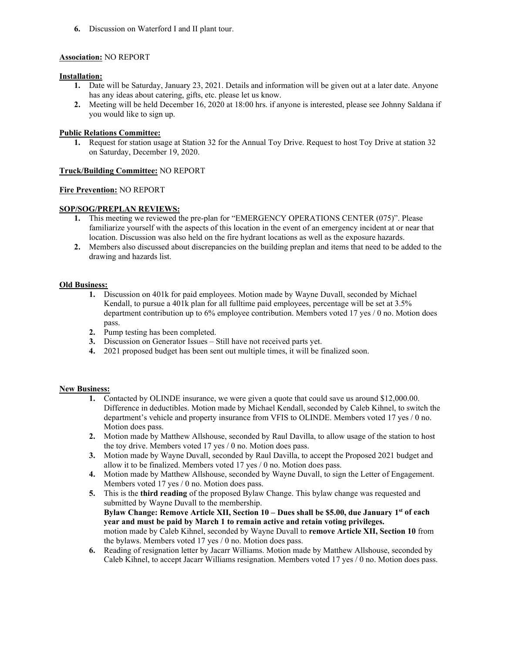**6.** Discussion on Waterford I and II plant tour.

# **Association:** NO REPORT

# **Installation:**

- **1.** Date will be Saturday, January 23, 2021. Details and information will be given out at a later date. Anyone has any ideas about catering, gifts, etc. please let us know.
- **2.** Meeting will be held December 16, 2020 at 18:00 hrs. if anyone is interested, please see Johnny Saldana if you would like to sign up.

# **Public Relations Committee:**

**1.** Request for station usage at Station 32 for the Annual Toy Drive. Request to host Toy Drive at station 32 on Saturday, December 19, 2020.

# **Truck/Building Committee:** NO REPORT

# **Fire Prevention:** NO REPORT

# **SOP/SOG/PREPLAN REVIEWS:**

- **1.** This meeting we reviewed the pre-plan for "EMERGENCY OPERATIONS CENTER (075)". Please familiarize yourself with the aspects of this location in the event of an emergency incident at or near that location. Discussion was also held on the fire hydrant locations as well as the exposure hazards.
- **2.** Members also discussed about discrepancies on the building preplan and items that need to be added to the drawing and hazards list.

# **Old Business:**

- **1.** Discussion on 401k for paid employees. Motion made by Wayne Duvall, seconded by Michael Kendall, to pursue a 401k plan for all fulltime paid employees, percentage will be set at 3.5% department contribution up to 6% employee contribution. Members voted 17 yes / 0 no. Motion does pass.
- **2.** Pump testing has been completed.
- **3.** Discussion on Generator Issues Still have not received parts yet.
- **4.** 2021 proposed budget has been sent out multiple times, it will be finalized soon.

# **New Business:**

- **1.** Contacted by OLINDE insurance, we were given a quote that could save us around \$12,000.00. Difference in deductibles. Motion made by Michael Kendall, seconded by Caleb Kihnel, to switch the department's vehicle and property insurance from VFIS to OLINDE. Members voted 17 yes / 0 no. Motion does pass.
- **2.** Motion made by Matthew Allshouse, seconded by Raul Davilla, to allow usage of the station to host the toy drive. Members voted 17 yes / 0 no. Motion does pass.
- **3.** Motion made by Wayne Duvall, seconded by Raul Davilla, to accept the Proposed 2021 budget and allow it to be finalized. Members voted 17 yes / 0 no. Motion does pass.
- **4.** Motion made by Matthew Allshouse, seconded by Wayne Duvall, to sign the Letter of Engagement. Members voted 17 yes / 0 no. Motion does pass.
- **5.** This is the **third reading** of the proposed Bylaw Change. This bylaw change was requested and submitted by Wayne Duvall to the membership. **Bylaw Change: Remove Article XII, Section 10 – Dues shall be \$5.00, due January 1st of each year and must be paid by March 1 to remain active and retain voting privileges.** motion made by Caleb Kihnel, seconded by Wayne Duvall to **remove Article XII, Section 10** from the bylaws. Members voted 17 yes / 0 no. Motion does pass.
- **6.** Reading of resignation letter by Jacarr Williams. Motion made by Matthew Allshouse, seconded by Caleb Kihnel, to accept Jacarr Williams resignation. Members voted 17 yes / 0 no. Motion does pass.